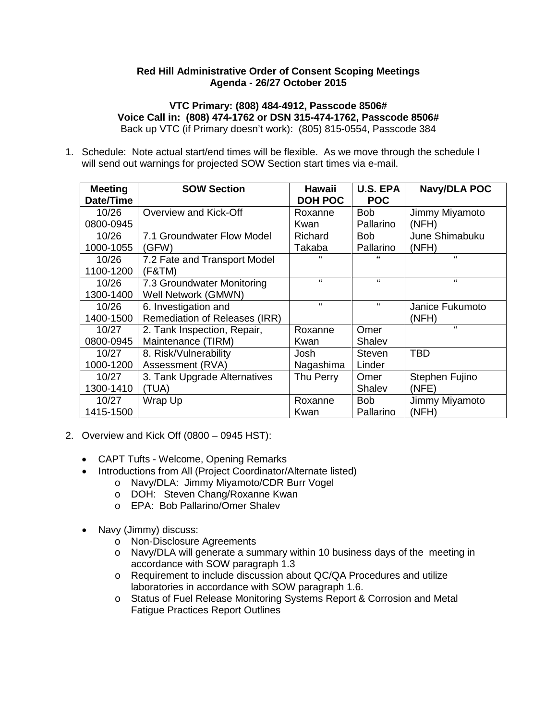#### **Red Hill Administrative Order of Consent Scoping Meetings Agenda - 26/27 October 2015**

#### **VTC Primary: (808) 484-4912, Passcode 8506# Voice Call in: (808) 474-1762 or DSN 315-474-1762, Passcode 8506#** Back up VTC (if Primary doesn't work): (805) 815-0554, Passcode 384

1. Schedule: Note actual start/end times will be flexible. As we move through the schedule I will send out warnings for projected SOW Section start times via e-mail.

| <b>Meeting</b><br>Date/Time | <b>SOW Section</b>            | <b>Hawaii</b><br><b>DOH POC</b> | <b>U.S. EPA</b><br><b>POC</b> | <b>Navy/DLA POC</b> |
|-----------------------------|-------------------------------|---------------------------------|-------------------------------|---------------------|
| 10/26                       | Overview and Kick-Off         | Roxanne                         | <b>Bob</b>                    | Jimmy Miyamoto      |
| 0800-0945                   |                               | Kwan                            | Pallarino                     | (NFH)               |
| 10/26                       | 7.1 Groundwater Flow Model    | Richard                         | <b>Bob</b>                    | June Shimabuku      |
| 1000-1055                   | (GFW)                         | Takaba                          | Pallarino                     | (NFH)               |
| 10/26                       | 7.2 Fate and Transport Model  | "                               | $\epsilon$                    | $\epsilon$          |
| 1100-1200                   | (F&TM)                        |                                 |                               |                     |
| 10/26                       | 7.3 Groundwater Monitoring    | $\epsilon$                      | "                             | "                   |
| 1300-1400                   | Well Network (GMWN)           |                                 |                               |                     |
| 10/26                       | 6. Investigation and          | $\epsilon$                      | "                             | Janice Fukumoto     |
| 1400-1500                   | Remediation of Releases (IRR) |                                 |                               | (NFH)               |
| 10/27                       | 2. Tank Inspection, Repair,   | Roxanne                         | Omer                          | $\epsilon$          |
| 0800-0945                   | Maintenance (TIRM)            | Kwan                            | Shalev                        |                     |
| 10/27                       | 8. Risk/Vulnerability         | Josh                            | <b>Steven</b>                 | <b>TBD</b>          |
| 1000-1200                   | Assessment (RVA)              | Nagashima                       | Linder                        |                     |
| 10/27                       | 3. Tank Upgrade Alternatives  | Thu Perry                       | Omer                          | Stephen Fujino      |
| 1300-1410                   | (TUA)                         |                                 | Shalev                        | (NFE)               |
| 10/27                       | Wrap Up                       | Roxanne                         | <b>Bob</b>                    | Jimmy Miyamoto      |
| 1415-1500                   |                               | Kwan                            | Pallarino                     | (NFH)               |

- 2. Overview and Kick Off (0800 0945 HST):
	- CAPT Tufts Welcome, Opening Remarks
	- Introductions from All (Project Coordinator/Alternate listed)
		- o Navy/DLA: Jimmy Miyamoto/CDR Burr Vogel
		- o DOH: Steven Chang/Roxanne Kwan
		- o EPA: Bob Pallarino/Omer Shalev
	- Navy (Jimmy) discuss:
		- o Non-Disclosure Agreements
		- o Navy/DLA will generate a summary within 10 business days of the meeting in accordance with SOW paragraph 1.3
		- o Requirement to include discussion about QC/QA Procedures and utilize laboratories in accordance with SOW paragraph 1.6.
		- o Status of Fuel Release Monitoring Systems Report & Corrosion and Metal Fatigue Practices Report Outlines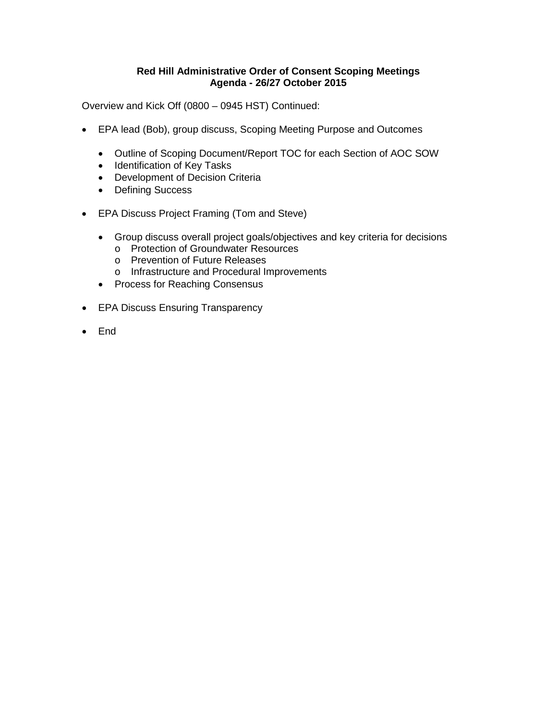### **Red Hill Administrative Order of Consent Scoping Meetings Agenda - 26/27 October 2015**

Overview and Kick Off (0800 – 0945 HST) Continued:

- EPA lead (Bob), group discuss, Scoping Meeting Purpose and Outcomes
	- Outline of Scoping Document/Report TOC for each Section of AOC SOW
	- Identification of Key Tasks
	- Development of Decision Criteria
	- Defining Success
- EPA Discuss Project Framing (Tom and Steve)
	- Group discuss overall project goals/objectives and key criteria for decisions
		- o Protection of Groundwater Resources
		- o Prevention of Future Releases
		- o Infrastructure and Procedural Improvements
	- Process for Reaching Consensus
- EPA Discuss Ensuring Transparency
- End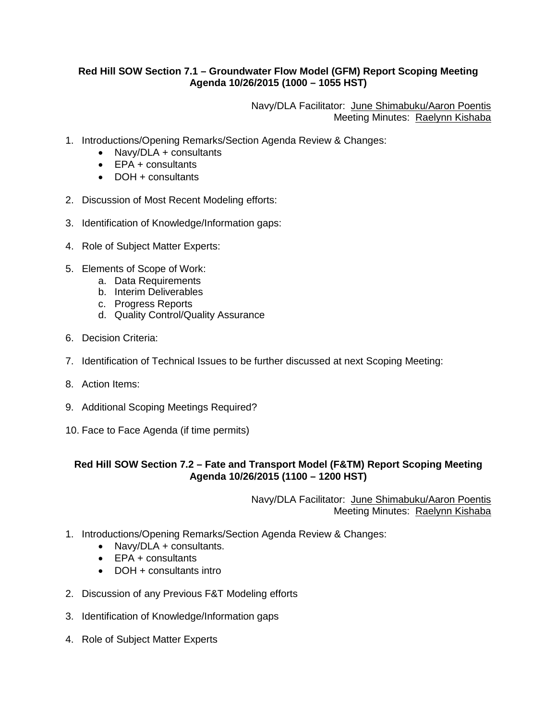### **Red Hill SOW Section 7.1 – Groundwater Flow Model (GFM) Report Scoping Meeting Agenda 10/26/2015 (1000 – 1055 HST)**

Navy/DLA Facilitator: June Shimabuku/Aaron Poentis Meeting Minutes: Raelynn Kishaba

- 1. Introductions/Opening Remarks/Section Agenda Review & Changes:
	- Navy/DLA + consultants
	- EPA + consultants
	- DOH + consultants
- 2. Discussion of Most Recent Modeling efforts:
- 3. Identification of Knowledge/Information gaps:
- 4. Role of Subject Matter Experts:
- 5. Elements of Scope of Work:
	- a. Data Requirements
		- b. Interim Deliverables
		- c. Progress Reports
		- d. Quality Control/Quality Assurance
- 6. Decision Criteria:
- 7. Identification of Technical Issues to be further discussed at next Scoping Meeting:
- 8. Action Items:
- 9. Additional Scoping Meetings Required?
- 10. Face to Face Agenda (if time permits)

## **Red Hill SOW Section 7.2 – Fate and Transport Model (F&TM) Report Scoping Meeting Agenda 10/26/2015 (1100 – 1200 HST)**

Navy/DLA Facilitator: June Shimabuku/Aaron Poentis Meeting Minutes: Raelynn Kishaba

- 1. Introductions/Opening Remarks/Section Agenda Review & Changes:
	- Navy/DLA + consultants.
	- EPA + consultants
	- DOH + consultants intro
- 2. Discussion of any Previous F&T Modeling efforts
- 3. Identification of Knowledge/Information gaps
- 4. Role of Subject Matter Experts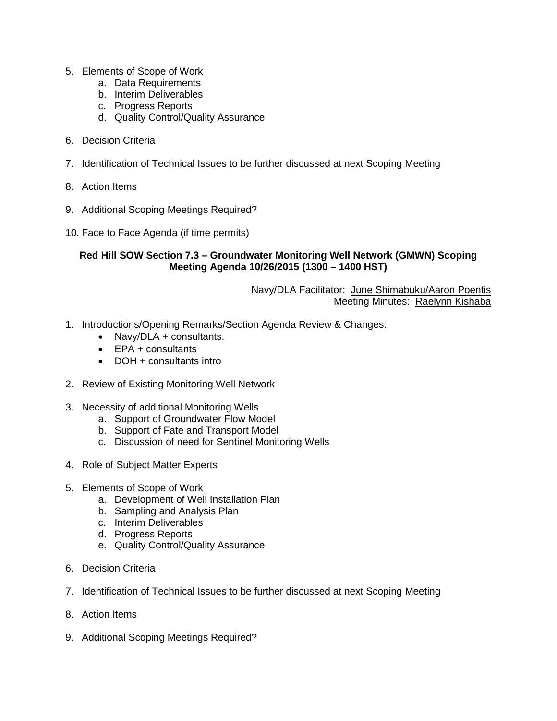- 5. Elements of Scope of Work
	- a. Data Requirements
	- b. Interim Deliverables
	- c. Progress Reports
	- d. Quality Control/Quality Assurance
- 6. Decision Criteria
- 7. Identification of Technical Issues to be further discussed at next Scoping Meeting
- 8. Action Items
- 9. Additional Scoping Meetings Required?
- 10. Face to Face Agenda (if time permits)

## **Red Hill SOW Section 7.3 – Groundwater Monitoring Well Network (GMWN) Scoping Meeting Agenda 10/26/2015 (1300 – 1400 HST)**

Navy/DLA Facilitator: June Shimabuku/Aaron Poentis Meeting Minutes: Raelynn Kishaba

- 1. Introductions/Opening Remarks/Section Agenda Review & Changes:
	- Navv/DLA + consultants.
	- **FPA** + consultants
	- DOH + consultants intro
- 2. Review of Existing Monitoring Well Network
- 3. Necessity of additional Monitoring Wells
	- a. Support of Groundwater Flow Model
	- b. Support of Fate and Transport Model
	- c. Discussion of need for Sentinel Monitoring Wells
- 4. Role of Subject Matter Experts
- 5. Elements of Scope of Work
	- a. Development of Well Installation Plan
	- b. Sampling and Analysis Plan
	- c. Interim Deliverables
	- d. Progress Reports
	- e. Quality Control/Quality Assurance
- 6. Decision Criteria
- 7. Identification of Technical Issues to be further discussed at next Scoping Meeting
- 8. Action Items
- 9. Additional Scoping Meetings Required?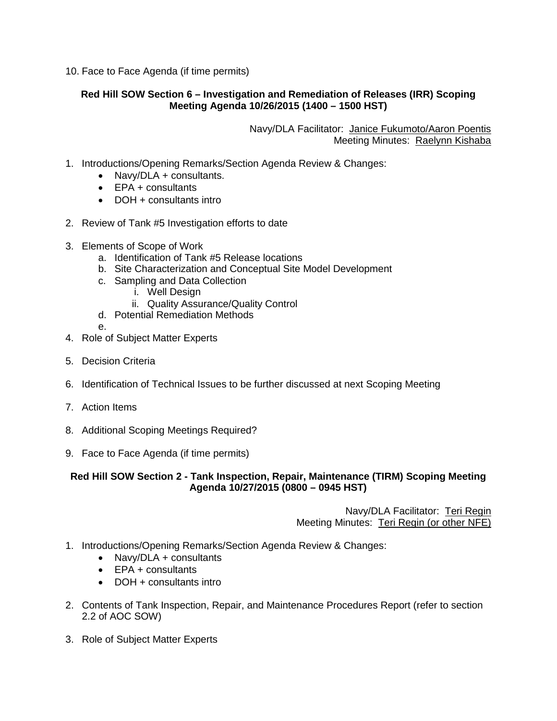10. Face to Face Agenda (if time permits)

# **Red Hill SOW Section 6 – Investigation and Remediation of Releases (IRR) Scoping Meeting Agenda 10/26/2015 (1400 – 1500 HST)**

Navy/DLA Facilitator: Janice Fukumoto/Aaron Poentis Meeting Minutes: Raelynn Kishaba

- 1. Introductions/Opening Remarks/Section Agenda Review & Changes:
	- Navy/DLA + consultants.
	- EPA + consultants
	- DOH + consultants intro
- 2. Review of Tank #5 Investigation efforts to date
- 3. Elements of Scope of Work
	- a. Identification of Tank #5 Release locations
	- b. Site Characterization and Conceptual Site Model Development
	- c. Sampling and Data Collection
		- i. Well Design
		- ii. Quality Assurance/Quality Control
	- d. Potential Remediation Methods
	- e.
- 4. Role of Subject Matter Experts
- 5. Decision Criteria
- 6. Identification of Technical Issues to be further discussed at next Scoping Meeting
- 7. Action Items
- 8. Additional Scoping Meetings Required?
- 9. Face to Face Agenda (if time permits)

**Red Hill SOW Section 2 - Tank Inspection, Repair, Maintenance (TIRM) Scoping Meeting Agenda 10/27/2015 (0800 – 0945 HST)**

> Navy/DLA Facilitator: Teri Regin Meeting Minutes: Teri Regin (or other NFE)

- 1. Introductions/Opening Remarks/Section Agenda Review & Changes:
	- Navy/DLA + consultants
	- EPA + consultants
	- DOH + consultants intro
- 2. Contents of Tank Inspection, Repair, and Maintenance Procedures Report (refer to section 2.2 of AOC SOW)
- 3. Role of Subject Matter Experts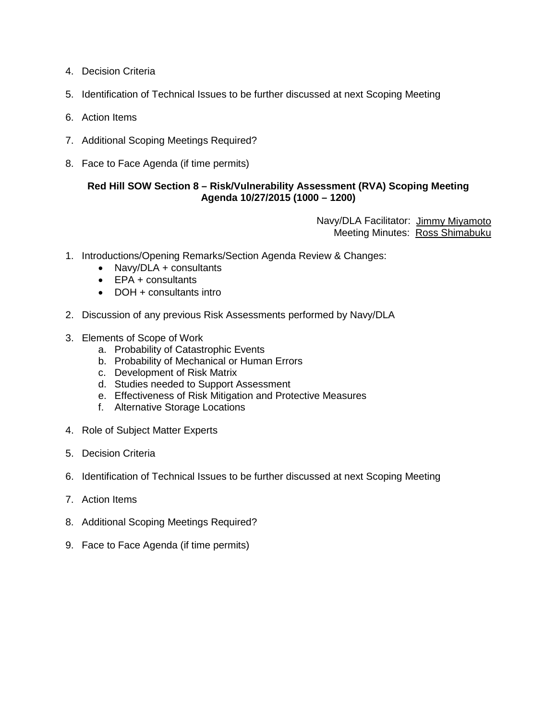- 4. Decision Criteria
- 5. Identification of Technical Issues to be further discussed at next Scoping Meeting
- 6. Action Items
- 7. Additional Scoping Meetings Required?
- 8. Face to Face Agenda (if time permits)

## **Red Hill SOW Section 8 – Risk/Vulnerability Assessment (RVA) Scoping Meeting Agenda 10/27/2015 (1000 – 1200)**

Navy/DLA Facilitator: Jimmy Miyamoto Meeting Minutes: Ross Shimabuku

- 1. Introductions/Opening Remarks/Section Agenda Review & Changes:
	- Navy/DLA + consultants
	- EPA + consultants
	- DOH + consultants intro
- 2. Discussion of any previous Risk Assessments performed by Navy/DLA
- 3. Elements of Scope of Work
	- a. Probability of Catastrophic Events
	- b. Probability of Mechanical or Human Errors
	- c. Development of Risk Matrix
	- d. Studies needed to Support Assessment
	- e. Effectiveness of Risk Mitigation and Protective Measures
	- f. Alternative Storage Locations
- 4. Role of Subject Matter Experts
- 5. Decision Criteria
- 6. Identification of Technical Issues to be further discussed at next Scoping Meeting
- 7. Action Items
- 8. Additional Scoping Meetings Required?
- 9. Face to Face Agenda (if time permits)